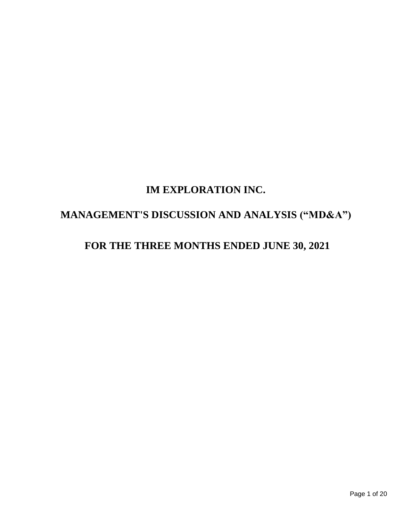# **IM EXPLORATION INC.**

# **MANAGEMENT'S DISCUSSION AND ANALYSIS ("MD&A")**

# **FOR THE THREE MONTHS ENDED JUNE 30, 2021**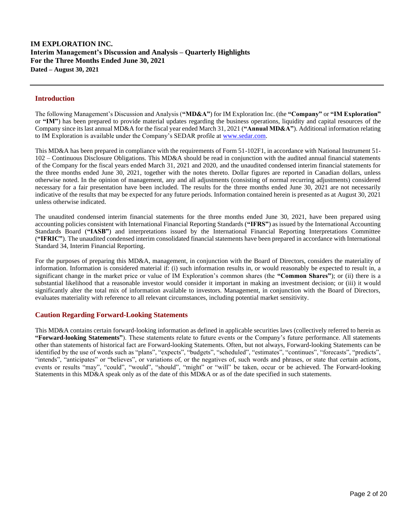## **Introduction**

The following Management's Discussion and Analysis (**"MD&A"**) for IM Exploration Inc. (the **"Company"** or **"IM Exploration"** or **"IM"**) has been prepared to provide material updates regarding the business operations, liquidity and capital resources of the Company since its last annual MD&A for the fiscal year ended March 31, 2021 (**"Annual MD&A"**). Additional information relating to IM Exploration is available under the Company's SEDAR profile a[t www.sedar.com.](http://www.sedar.com/)

This MD&A has been prepared in compliance with the requirements of Form 51-102F1, in accordance with National Instrument 51- 102 – Continuous Disclosure Obligations. This MD&A should be read in conjunction with the audited annual financial statements of the Company for the fiscal years ended March 31, 2021 and 2020, and the unaudited condensed interim financial statements for the three months ended June 30, 2021, together with the notes thereto. Dollar figures are reported in Canadian dollars, unless otherwise noted. In the opinion of management, any and all adjustments (consisting of normal recurring adjustments) considered necessary for a fair presentation have been included. The results for the three months ended June 30, 2021 are not necessarily indicative of the results that may be expected for any future periods. Information contained herein is presented as at August 30, 2021 unless otherwise indicated.

The unaudited condensed interim financial statements for the three months ended June 30, 2021, have been prepared using accounting policies consistent with International Financial Reporting Standards (**"IFRS"**) as issued by the International Accounting Standards Board (**"IASB"**) and interpretations issued by the International Financial Reporting Interpretations Committee (**"IFRIC"**). The unaudited condensed interim consolidated financial statements have been prepared in accordance with International Standard 34, Interim Financial Reporting.

For the purposes of preparing this MD&A, management, in conjunction with the Board of Directors, considers the materiality of information. Information is considered material if: (i) such information results in, or would reasonably be expected to result in, a significant change in the market price or value of IM Exploration's common shares (the **"Common Shares"**); or (ii) there is a substantial likelihood that a reasonable investor would consider it important in making an investment decision; or (iii) it would significantly alter the total mix of information available to investors. Management, in conjunction with the Board of Directors, evaluates materiality with reference to all relevant circumstances, including potential market sensitivity.

## **Caution Regarding Forward-Looking Statements**

This MD&A contains certain forward-looking information as defined in applicable securities laws (collectively referred to herein as **"Forward-looking Statements"**). These statements relate to future events or the Company's future performance. All statements other than statements of historical fact are Forward-looking Statements. Often, but not always, Forward-looking Statements can be identified by the use of words such as "plans", "expects", "budgets", "scheduled", "estimates", "continues", "forecasts", "predicts", "intends", "anticipates" or "believes", or variations of, or the negatives of, such words and phrases, or state that certain actions, events or results "may", "could", "would", "should", "might" or "will" be taken, occur or be achieved. The Forward-looking Statements in this MD&A speak only as of the date of this MD&A or as of the date specified in such statements.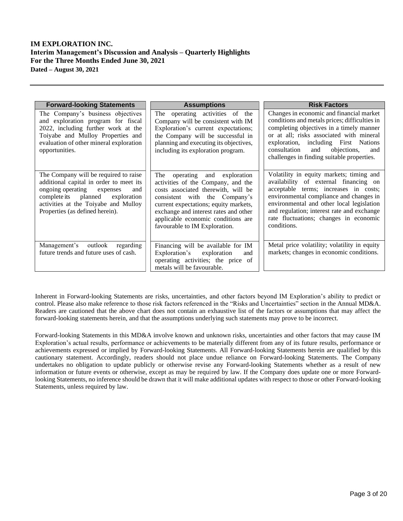| <b>Forward-looking Statements</b>                                                                                                                                                                                                       | <b>Assumptions</b>                                                                                                                                                                                                                                                                                   | <b>Risk Factors</b>                                                                                                                                                                                                                                                                                                       |  |
|-----------------------------------------------------------------------------------------------------------------------------------------------------------------------------------------------------------------------------------------|------------------------------------------------------------------------------------------------------------------------------------------------------------------------------------------------------------------------------------------------------------------------------------------------------|---------------------------------------------------------------------------------------------------------------------------------------------------------------------------------------------------------------------------------------------------------------------------------------------------------------------------|--|
| The Company's business objectives<br>and exploration program for fiscal<br>2022, including further work at the<br>Toiyabe and Mulloy Properties and<br>evaluation of other mineral exploration<br>opportunities.                        | The operating activities of the<br>Company will be consistent with IM<br>Exploration's current expectations;<br>the Company will be successful in<br>planning and executing its objectives,<br>including its exploration program.                                                                    | Changes in economic and financial market<br>conditions and metals prices; difficulties in<br>completing objectives in a timely manner<br>or at all; risks associated with mineral<br>exploration, including First Nations<br>consultation<br>objections,<br>and<br>and<br>challenges in finding suitable properties.      |  |
| The Company will be required to raise<br>additional capital in order to meet its<br>ongoing operating expenses<br>and<br>complete its planned<br>exploration<br>activities at the Toiyabe and Mulloy<br>Properties (as defined herein). | The operating and exploration<br>activities of the Company, and the<br>costs associated therewith, will be<br>consistent with the Company's<br>current expectations; equity markets,<br>exchange and interest rates and other<br>applicable economic conditions are<br>favourable to IM Exploration. | Volatility in equity markets; timing and<br>availability of external financing on<br>acceptable terms; increases in costs;<br>environmental compliance and changes in<br>environmental and other local legislation<br>and regulation; interest rate and exchange<br>rate fluctuations; changes in economic<br>conditions. |  |
| Management's outlook<br>regarding<br>future trends and future uses of cash.                                                                                                                                                             | Financing will be available for IM<br>Exploration's<br>exploration<br>and<br>operating activities; the price of<br>metals will be favourable.                                                                                                                                                        | Metal price volatility; volatility in equity<br>markets; changes in economic conditions.                                                                                                                                                                                                                                  |  |

Inherent in Forward-looking Statements are risks, uncertainties, and other factors beyond IM Exploration's ability to predict or control. Please also make reference to those risk factors referenced in the "Risks and Uncertainties" section in the Annual MD&A. Readers are cautioned that the above chart does not contain an exhaustive list of the factors or assumptions that may affect the forward-looking statements herein, and that the assumptions underlying such statements may prove to be incorrect.

Forward-looking Statements in this MD&A involve known and unknown risks, uncertainties and other factors that may cause IM Exploration's actual results, performance or achievements to be materially different from any of its future results, performance or achievements expressed or implied by Forward-looking Statements. All Forward-looking Statements herein are qualified by this cautionary statement. Accordingly, readers should not place undue reliance on Forward-looking Statements. The Company undertakes no obligation to update publicly or otherwise revise any Forward-looking Statements whether as a result of new information or future events or otherwise, except as may be required by law. If the Company does update one or more Forwardlooking Statements, no inference should be drawn that it will make additional updates with respect to those or other Forward-looking Statements, unless required by law.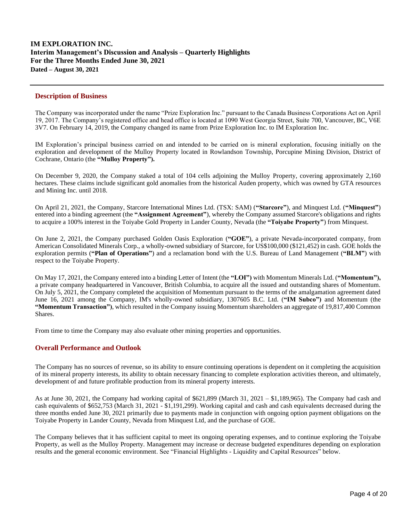## **Description of Business**

The Company was incorporated under the name "Prize Exploration Inc." pursuant to the Canada Business Corporations Act on April 19, 2017. The Company's registered office and head office is located at 1090 West Georgia Street, Suite 700, Vancouver, BC, V6E 3V7. On February 14, 2019, the Company changed its name from Prize Exploration Inc. to IM Exploration Inc.

IM Exploration's principal business carried on and intended to be carried on is mineral exploration, focusing initially on the exploration and development of the Mulloy Property located in Rowlandson Township, Porcupine Mining Division, District of Cochrane, Ontario (the **"Mulloy Property").**

On December 9, 2020, the Company staked a total of 104 cells adjoining the Mulloy Property, covering approximately 2,160 hectares. These claims include significant gold anomalies from the historical Auden property, which was owned by GTA resources and Mining Inc. until 2018.

On April 21, 2021, the Company, Starcore International Mines Ltd. (TSX: SAM) (**"Starcore"**), and Minquest Ltd. (**"Minquest"**) entered into a binding agreement (the **"Assignment Agreement"**), whereby the Company assumed Starcore's obligations and rights to acquire a 100% interest in the Toiyabe Gold Property in Lander County, Nevada (the **"Toiyabe Property"**) from Minquest.

On June 2, 2021, the Company purchased Golden Oasis Exploration (**"GOE"**), a private Nevada-incorporated company, from American Consolidated Minerals Corp., a wholly-owned subsidiary of Starcore, for US\$100,000 (\$121,452) in cash. GOE holds the exploration permits (**"Plan of Operations"**) and a reclamation bond with the U.S. Bureau of Land Management (**"BLM"**) with respect to the Toiyabe Property.

On May 17, 2021, the Company entered into a binding Letter of Intent (the **"LOI")** with Momentum Minerals Ltd. (**"Momentum"),**  a private company headquartered in Vancouver, British Columbia, to acquire all the issued and outstanding shares of Momentum. On July 5, 2021, the Company completed the acquisition of Momentum pursuant to the terms of the amalgamation agreement dated June 16, 2021 among the Company, IM's wholly-owned subsidiary, 1307605 B.C. Ltd. (**"IM Subco")** and Momentum (the **"Momentum Transaction")**, which resulted in the Company issuing Momentum shareholders an aggregate of 19,817,400 Common Shares.

From time to time the Company may also evaluate other mining properties and opportunities.

## **Overall Performance and Outlook**

The Company has no sources of revenue, so its ability to ensure continuing operations is dependent on it completing the acquisition of its mineral property interests, its ability to obtain necessary financing to complete exploration activities thereon, and ultimately, development of and future profitable production from its mineral property interests.

As at June 30, 2021, the Company had working capital of \$621,899 (March 31, 2021 – \$1,189,965). The Company had cash and cash equivalents of \$652,753 (March 31, 2021 - \$1,191,299). Working capital and cash and cash equivalents decreased during the three months ended June 30, 2021 primarily due to payments made in conjunction with ongoing option payment obligations on the Toiyabe Property in Lander County, Nevada from Minquest Ltd, and the purchase of GOE.

The Company believes that it has sufficient capital to meet its ongoing operating expenses, and to continue exploring the Toiyabe Property, as well as the Mulloy Property. Management may increase or decrease budgeted expenditures depending on exploration results and the general economic environment. See "Financial Highlights - Liquidity and Capital Resources" below.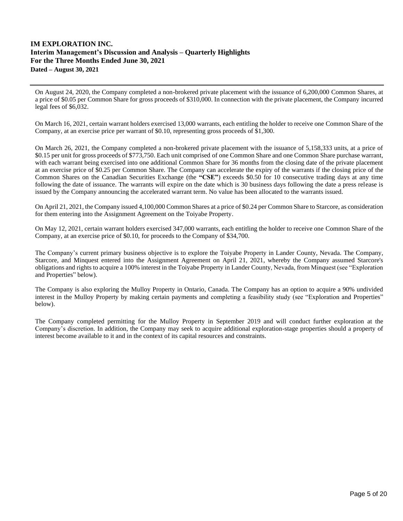On August 24, 2020, the Company completed a non-brokered private placement with the issuance of 6,200,000 Common Shares, at a price of \$0.05 per Common Share for gross proceeds of \$310,000. In connection with the private placement, the Company incurred legal fees of \$6,032.

On March 16, 2021, certain warrant holders exercised 13,000 warrants, each entitling the holder to receive one Common Share of the Company, at an exercise price per warrant of \$0.10, representing gross proceeds of \$1,300.

On March 26, 2021, the Company completed a non-brokered private placement with the issuance of 5,158,333 units, at a price of \$0.15 per unit for gross proceeds of \$773,750. Each unit comprised of one Common Share and one Common Share purchase warrant, with each warrant being exercised into one additional Common Share for 36 months from the closing date of the private placement at an exercise price of \$0.25 per Common Share. The Company can accelerate the expiry of the warrants if the closing price of the Common Shares on the Canadian Securities Exchange (the **"CSE"**) exceeds \$0.50 for 10 consecutive trading days at any time following the date of issuance. The warrants will expire on the date which is 30 business days following the date a press release is issued by the Company announcing the accelerated warrant term. No value has been allocated to the warrants issued.

On April 21, 2021, the Company issued 4,100,000 Common Shares at a price of \$0.24 per Common Share to Starcore, as consideration for them entering into the Assignment Agreement on the Toiyabe Property.

On May 12, 2021, certain warrant holders exercised 347,000 warrants, each entitling the holder to receive one Common Share of the Company, at an exercise price of \$0.10, for proceeds to the Company of \$34,700.

The Company's current primary business objective is to explore the Toiyabe Property in Lander County, Nevada. The Company, Starcore, and Minquest entered into the Assignment Agreement on April 21, 2021, whereby the Company assumed Starcore's obligations and rights to acquire a 100% interest in the Toiyabe Property in Lander County, Nevada, from Minquest (see "Exploration and Properties" below).

The Company is also exploring the Mulloy Property in Ontario, Canada. The Company has an option to acquire a 90% undivided interest in the Mulloy Property by making certain payments and completing a feasibility study (see "Exploration and Properties" below).

The Company completed permitting for the Mulloy Property in September 2019 and will conduct further exploration at the Company's discretion. In addition, the Company may seek to acquire additional exploration-stage properties should a property of interest become available to it and in the context of its capital resources and constraints.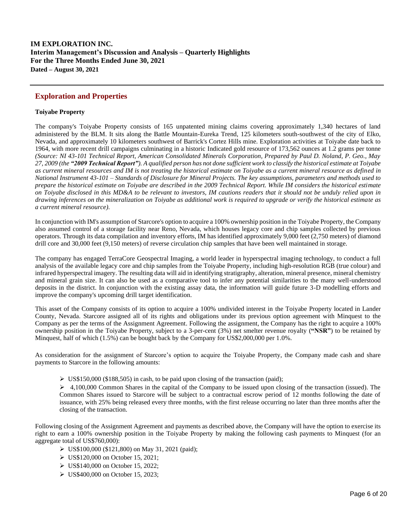# **Exploration and Properties**

## **Toiyabe Property**

The company's Toiyabe Property consists of 165 unpatented mining claims covering approximately 1,340 hectares of land administered by the BLM. It sits along the Battle Mountain-Eureka Trend, 125 kilometers south-southwest of the city of Elko, Nevada, and approximately 10 kilometers southwest of Barrick's Cortez Hills mine. Exploration activities at Toiyabe date back to 1964, with more recent drill campaigns culminating in a historic Indicated gold resource of 173,562 ounces at 1.2 grams per tonne *(Source: NI 43-101 Technical Report, American Consolidated Minerals Corporation, Prepared by Paul D. Noland, P. Geo., May 27, 2009 (the "2009 Technical Report"). A qualified person has not done sufficient work to classify the historical estimate at Toiyabe as current mineral resources and IM is not treating the historical estimate on Toiyabe as a current mineral resource as defined in National Instrument 43-101 – Standards of Disclosure for Mineral Projects. The key assumptions, parameters and methods used to prepare the historical estimate on Toiyabe are described in the 2009 Technical Report. While IM considers the historical estimate on Toiyabe disclosed in this MD&A to be relevant to investors, IM cautions readers that it should not be unduly relied upon in drawing inferences on the mineralization on Toiyabe as additional work is required to upgrade or verify the historical estimate as a current mineral resource).*

In conjunction with IM's assumption of Starcore's option to acquire a 100% ownership position in the Toiyabe Property, the Company also assumed control of a storage facility near Reno, Nevada, which houses legacy core and chip samples collected by previous operators. Through its data compilation and inventory efforts, IM has identified approximately 9,000 feet (2,750 meters) of diamond drill core and 30,000 feet (9,150 meters) of reverse circulation chip samples that have been well maintained in storage.

The company has engaged TerraCore Geospectral Imaging, a world leader in hyperspectral imaging technology, to conduct a full analysis of the available legacy core and chip samples from the Toiyabe Property, including high-resolution RGB (true colour) and infrared hyperspectral imagery. The resulting data will aid in identifying stratigraphy, alteration, mineral presence, mineral chemistry and mineral grain size. It can also be used as a comparative tool to infer any potential similarities to the many well-understood deposits in the district. In conjunction with the existing assay data, the information will guide future 3-D modelling efforts and improve the company's upcoming drill target identification.

This asset of the Company consists of its option to acquire a 100% undivided interest in the Toiyabe Property located in Lander County, Nevada. Starcore assigned all of its rights and obligations under its previous option agreement with Minquest to the Company as per the terms of the Assignment Agreement. Following the assignment, the Company has the right to acquire a 100% ownership position in the Toiyabe Property, subject to a 3-per-cent (3%) net smelter revenue royalty (**"NSR"**) to be retained by Minquest, half of which (1.5%) can be bought back by the Company for US\$2,000,000 per 1.0%.

As consideration for the assignment of Starcore's option to acquire the Toiyabe Property, the Company made cash and share payments to Starcore in the following amounts:

➢ US\$150,000 (\$188,505) in cash, to be paid upon closing of the transaction (paid);

 $\geq 4,100,000$  Common Shares in the capital of the Company to be issued upon closing of the transaction (issued). The Common Shares issued to Starcore will be subject to a contractual escrow period of 12 months following the date of issuance, with 25% being released every three months, with the first release occurring no later than three months after the closing of the transaction.

Following closing of the Assignment Agreement and payments as described above, the Company will have the option to exercise its right to earn a 100% ownership position in the Toiyabe Property by making the following cash payments to Minquest (for an aggregate total of US\$760,000):

- ➢ US\$100,000 (\$121,800) on May 31, 2021 (paid);
- ➢ US\$120,000 on October 15, 2021;
- ➢ US\$140,000 on October 15, 2022;
- ➢ US\$400,000 on October 15, 2023;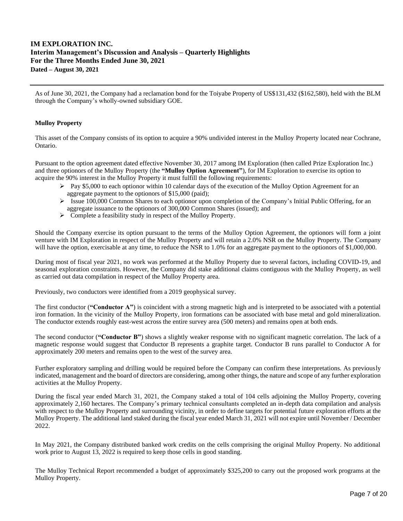As of June 30, 2021, the Company had a reclamation bond for the Toiyabe Property of US\$131,432 (\$162,580), held with the BLM through the Company's wholly-owned subsidiary GOE.

## **Mulloy Property**

This asset of the Company consists of its option to acquire a 90% undivided interest in the Mulloy Property located near Cochrane, Ontario.

Pursuant to the option agreement dated effective November 30, 2017 among IM Exploration (then called Prize Exploration Inc.) and three optionors of the Mulloy Property (the **"Mulloy Option Agreement"**), for IM Exploration to exercise its option to acquire the 90% interest in the Mulloy Property it must fulfill the following requirements:

- $\triangleright$  Pay \$5,000 to each optionor within 10 calendar days of the execution of the Mulloy Option Agreement for an aggregate payment to the optionors of \$15,000 (paid);
- $\triangleright$  Issue 100,000 Common Shares to each optionor upon completion of the Company's Initial Public Offering, for an aggregate issuance to the optionors of 300,000 Common Shares (issued); and
- $\triangleright$  Complete a feasibility study in respect of the Mulloy Property.

Should the Company exercise its option pursuant to the terms of the Mulloy Option Agreement, the optionors will form a joint venture with IM Exploration in respect of the Mulloy Property and will retain a 2.0% NSR on the Mulloy Property. The Company will have the option, exercisable at any time, to reduce the NSR to 1.0% for an aggregate payment to the optionors of \$1,000,000.

During most of fiscal year 2021, no work was performed at the Mulloy Property due to several factors, including COVID-19, and seasonal exploration constraints. However, the Company did stake additional claims contiguous with the Mulloy Property, as well as carried out data compilation in respect of the Mulloy Property area.

Previously, two conductors were identified from a 2019 geophysical survey.

The first conductor (**"Conductor A"**) is coincident with a strong magnetic high and is interpreted to be associated with a potential iron formation. In the vicinity of the Mulloy Property, iron formations can be associated with base metal and gold mineralization. The conductor extends roughly east-west across the entire survey area (500 meters) and remains open at both ends.

The second conductor (**"Conductor B"**) shows a slightly weaker response with no significant magnetic correlation. The lack of a magnetic response would suggest that Conductor B represents a graphite target. Conductor B runs parallel to Conductor A for approximately 200 meters and remains open to the west of the survey area.

Further exploratory sampling and drilling would be required before the Company can confirm these interpretations. As previously indicated, management and the board of directors are considering, among other things, the nature and scope of any further exploration activities at the Mulloy Property.

During the fiscal year ended March 31, 2021, the Company staked a total of 104 cells adjoining the Mulloy Property, covering approximately 2,160 hectares. The Company's primary technical consultants completed an in-depth data compilation and analysis with respect to the Mulloy Property and surrounding vicinity, in order to define targets for potential future exploration efforts at the Mulloy Property. The additional land staked during the fiscal year ended March 31, 2021 will not expire until November / December 2022.

In May 2021, the Company distributed banked work credits on the cells comprising the original Mulloy Property. No additional work prior to August 13, 2022 is required to keep those cells in good standing.

The Mulloy Technical Report recommended a budget of approximately \$325,200 to carry out the proposed work programs at the Mulloy Property.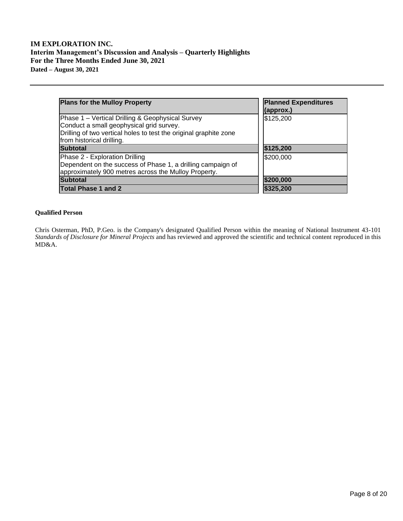| <b>Plans for the Mulloy Property</b>                                                                                                                                                           | <b>Planned Expenditures</b><br>(approx.) |
|------------------------------------------------------------------------------------------------------------------------------------------------------------------------------------------------|------------------------------------------|
| Phase 1 – Vertical Drilling & Geophysical Survey<br>Conduct a small geophysical grid survey.<br>Drilling of two vertical holes to test the original graphite zone<br>from historical drilling. | \$125,200                                |
| <b>Subtotal</b>                                                                                                                                                                                | \$125,200                                |
| Phase 2 - Exploration Drilling<br>Dependent on the success of Phase 1, a drilling campaign of<br>approximately 900 metres across the Mulloy Property.                                          | \$200,000                                |
| <b>Subtotal</b>                                                                                                                                                                                | \$200,000                                |
| <b>Total Phase 1 and 2</b>                                                                                                                                                                     | \$325,200                                |

## **Qualified Person**

Chris Osterman, PhD, P.Geo. is the Company's designated Qualified Person within the meaning of National Instrument 43-101 *Standards of Disclosure for Mineral Projects* and has reviewed and approved the scientific and technical content reproduced in this MD&A.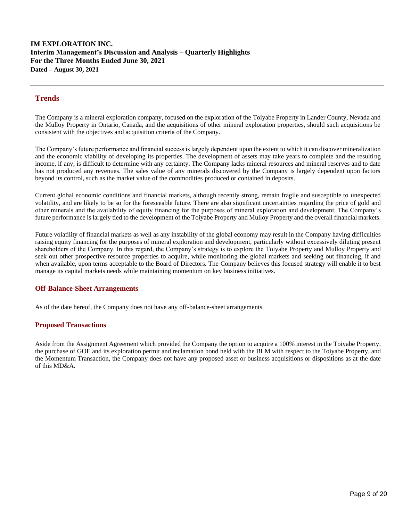# **Trends**

The Company is a mineral exploration company, focused on the exploration of the Toiyabe Property in Lander County, Nevada and the Mulloy Property in Ontario, Canada, and the acquisitions of other mineral exploration properties, should such acquisitions be consistent with the objectives and acquisition criteria of the Company.

The Company's future performance and financial success is largely dependent upon the extent to which it can discover mineralization and the economic viability of developing its properties. The development of assets may take years to complete and the resulting income, if any, is difficult to determine with any certainty. The Company lacks mineral resources and mineral reserves and to date has not produced any revenues. The sales value of any minerals discovered by the Company is largely dependent upon factors beyond its control, such as the market value of the commodities produced or contained in deposits.

Current global economic conditions and financial markets, although recently strong, remain fragile and susceptible to unexpected volatility, and are likely to be so for the foreseeable future. There are also significant uncertainties regarding the price of gold and other minerals and the availability of equity financing for the purposes of mineral exploration and development. The Company's future performance is largely tied to the development of the Toiyabe Property and Mulloy Property and the overall financial markets.

Future volatility of financial markets as well as any instability of the global economy may result in the Company having difficulties raising equity financing for the purposes of mineral exploration and development, particularly without excessively diluting present shareholders of the Company. In this regard, the Company's strategy is to explore the Toiyabe Property and Mulloy Property and seek out other prospective resource properties to acquire, while monitoring the global markets and seeking out financing, if and when available, upon terms acceptable to the Board of Directors. The Company believes this focused strategy will enable it to best manage its capital markets needs while maintaining momentum on key business initiatives.

## **Off-Balance-Sheet Arrangements**

As of the date hereof, the Company does not have any off-balance-sheet arrangements.

# **Proposed Transactions**

Aside from the Assignment Agreement which provided the Company the option to acquire a 100% interest in the Toiyabe Property, the purchase of GOE and its exploration permit and reclamation bond held with the BLM with respect to the Toiyabe Property, and the Momentum Transaction, the Company does not have any proposed asset or business acquisitions or dispositions as at the date of this MD&A.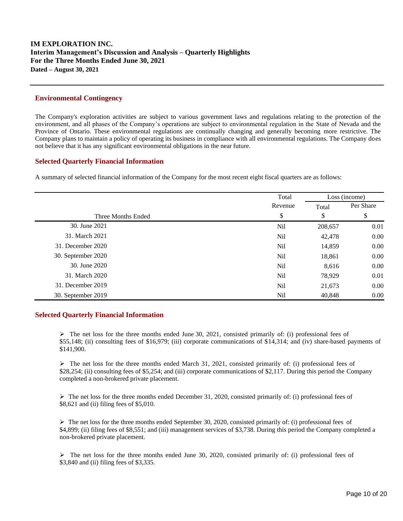## **Environmental Contingency**

The Company's exploration activities are subject to various government laws and regulations relating to the protection of the environment, and all phases of the Company's operations are subject to environmental regulation in the State of Nevada and the Province of Ontario. These environmental regulations are continually changing and generally becoming more restrictive. The Company plans to maintain a policy of operating its business in compliance with all environmental regulations. The Company does not believe that it has any significant environmental obligations in the near future.

## **Selected Quarterly Financial Information**

A summary of selected financial information of the Company for the most recent eight fiscal quarters are as follows:

|                    | Total           |         | Loss (income) |  |
|--------------------|-----------------|---------|---------------|--|
|                    | Revenue         | Total   | Per Share     |  |
| Three Months Ended | \$              | \$      | \$            |  |
| 30. June 2021      | N <sub>il</sub> | 208,657 | 0.01          |  |
| 31. March 2021     | Nil             | 42,478  | 0.00          |  |
| 31. December 2020  | N <sub>il</sub> | 14,859  | 0.00          |  |
| 30. September 2020 | Nil             | 18,861  | 0.00          |  |
| 30. June 2020      | N <sub>il</sub> | 8,616   | 0.00          |  |
| 31. March 2020     | N <sub>il</sub> | 78,929  | 0.01          |  |
| 31. December 2019  | Nil             | 21,673  | 0.00          |  |
| 30. September 2019 | Nil             | 40,848  | 0.00          |  |

## **Selected Quarterly Financial Information**

 $\triangleright$  The net loss for the three months ended June 30, 2021, consisted primarily of: (i) professional fees of \$55,148; (ii) consulting fees of \$16,979; (iii) corporate communications of \$14,314; and (iv) share-based payments of \$141,900.

 $\triangleright$  The net loss for the three months ended March 31, 2021, consisted primarily of: (i) professional fees of \$28,254; (ii) consulting fees of \$5,254; and (iii) corporate communications of \$2,117. During this period the Company completed a non-brokered private placement.

 $\triangleright$  The net loss for the three months ended December 31, 2020, consisted primarily of: (i) professional fees of \$8,621 and (ii) filing fees of \$5,010.

 $\triangleright$  The net loss for the three months ended September 30, 2020, consisted primarily of: (i) professional fees of \$4,899; (ii) filing fees of \$8,551; and (iii) management services of \$3,738. During this period the Company completed a non-brokered private placement.

 $\triangleright$  The net loss for the three months ended June 30, 2020, consisted primarily of: (i) professional fees of \$3,840 and (ii) filing fees of \$3,335.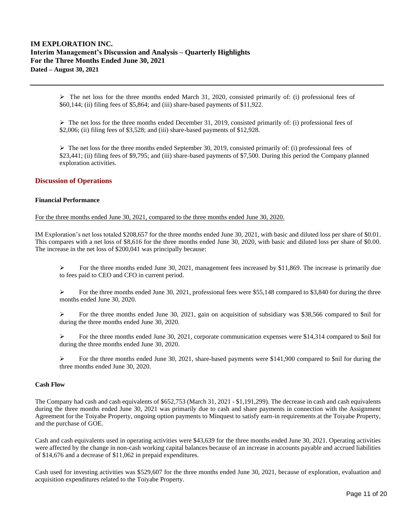$\triangleright$  The net loss for the three months ended March 31, 2020, consisted primarily of: (i) professional fees of \$60,144; (ii) filing fees of \$5,864; and (iii) share-based payments of \$11,922.

 $\triangleright$  The net loss for the three months ended December 31, 2019, consisted primarily of: (i) professional fees of \$2,006; (ii) filing fees of \$3,528; and (iii) share-based payments of \$12,928.

➢ The net loss for the three months ended September 30, 2019, consisted primarily of: (i) professional fees of \$23,441; (ii) filing fees of \$9,795; and (iii) share-based payments of \$7,500. During this period the Company planned exploration activities.

## **Discussion of Operations**

#### **Financial Performance**

For the three months ended June 30, 2021, compared to the three months ended June 30, 2020.

IM Exploration's net loss totaled \$208,657 for the three months ended June 30, 2021, with basic and diluted loss per share of \$0.01. This compares with a net loss of \$8,616 for the three months ended June 30, 2020, with basic and diluted loss per share of \$0.00. The increase in the net loss of \$200,041 was principally because:

 $\triangleright$  For the three months ended June 30, 2021, management fees increased by \$11,869. The increase is primarily due to fees paid to CEO and CFO in current period.

 $\triangleright$  For the three months ended June 30, 2021, professional fees were \$55,148 compared to \$3,840 for during the three months ended June 30, 2020.

➢ For the three months ended June 30, 2021, gain on acquisition of subsidiary was \$38,566 compared to \$nil for during the three months ended June 30, 2020.

➢ For the three months ended June 30, 2021, corporate communication expenses were \$14,314 compared to \$nil for during the three months ended June 30, 2020.

 $\triangleright$  For the three months ended June 30, 2021, share-based payments were \$141,900 compared to \$nil for during the three months ended June 30, 2020.

## **Cash Flow**

The Company had cash and cash equivalents of \$652,753 (March 31, 2021 - \$1,191,299). The decrease in cash and cash equivalents during the three months ended June 30, 2021 was primarily due to cash and share payments in connection with the Assignment Agreement for the Toiyabe Property, ongoing option payments to Minquest to satisfy earn-in requirements at the Toiyabe Property, and the purchase of GOE.

Cash and cash equivalents used in operating activities were \$43,639 for the three months ended June 30, 2021. Operating activities were affected by the change in non-cash working capital balances because of an increase in accounts payable and accrued liabilities of \$14,676 and a decrease of \$11,062 in prepaid expenditures.

Cash used for investing activities was \$529,607 for the three months ended June 30, 2021, because of exploration, evaluation and acquisition expenditures related to the Toiyabe Property.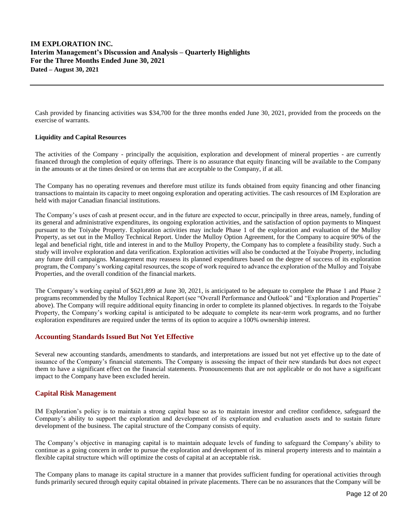Cash provided by financing activities was \$34,700 for the three months ended June 30, 2021, provided from the proceeds on the exercise of warrants.

## **Liquidity and Capital Resources**

The activities of the Company - principally the acquisition, exploration and development of mineral properties - are currently financed through the completion of equity offerings. There is no assurance that equity financing will be available to the Company in the amounts or at the times desired or on terms that are acceptable to the Company, if at all.

The Company has no operating revenues and therefore must utilize its funds obtained from equity financing and other financing transactions to maintain its capacity to meet ongoing exploration and operating activities. The cash resources of IM Exploration are held with major Canadian financial institutions.

The Company's uses of cash at present occur, and in the future are expected to occur, principally in three areas, namely, funding of its general and administrative expenditures, its ongoing exploration activities, and the satisfaction of option payments to Minquest pursuant to the Toiyabe Property. Exploration activities may include Phase 1 of the exploration and evaluation of the Mulloy Property, as set out in the Mulloy Technical Report. Under the Mulloy Option Agreement, for the Company to acquire 90% of the legal and beneficial right, title and interest in and to the Mulloy Property, the Company has to complete a feasibility study. Such a study will involve exploration and data verification. Exploration activities will also be conducted at the Toiyabe Property, including any future drill campaigns. Management may reassess its planned expenditures based on the degree of success of its exploration program, the Company's working capital resources, the scope of work required to advance the exploration of the Mulloy and Toiyabe Properties, and the overall condition of the financial markets.

The Company's working capital of \$621,899 at June 30, 2021, is anticipated to be adequate to complete the Phase 1 and Phase 2 programs recommended by the Mulloy Technical Report (see "Overall Performance and Outlook" and "Exploration and Properties" above). The Company will require additional equity financing in order to complete its planned objectives. In regards to the Toiyabe Property, the Company's working capital is anticipated to be adequate to complete its near-term work programs, and no further exploration expenditures are required under the terms of its option to acquire a 100% ownership interest.

## **Accounting Standards Issued But Not Yet Effective**

Several new accounting standards, amendments to standards, and interpretations are issued but not yet effective up to the date of issuance of the Company's financial statements. The Company is assessing the impact of their new standards but does not expect them to have a significant effect on the financial statements. Pronouncements that are not applicable or do not have a significant impact to the Company have been excluded herein.

## **Capital Risk Management**

IM Exploration's policy is to maintain a strong capital base so as to maintain investor and creditor confidence, safeguard the Company's ability to support the exploration and development of its exploration and evaluation assets and to sustain future development of the business. The capital structure of the Company consists of equity.

The Company's objective in managing capital is to maintain adequate levels of funding to safeguard the Company's ability to continue as a going concern in order to pursue the exploration and development of its mineral property interests and to maintain a flexible capital structure which will optimize the costs of capital at an acceptable risk.

The Company plans to manage its capital structure in a manner that provides sufficient funding for operational activities through funds primarily secured through equity capital obtained in private placements. There can be no assurances that the Company will be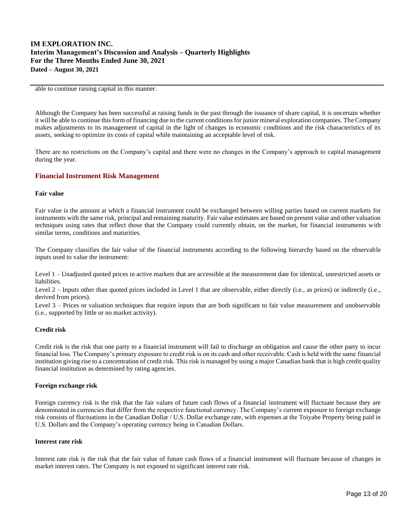able to continue raising capital in this manner.

Although the Company has been successful at raising funds in the past through the issuance of share capital, it is uncertain whether it will be able to continue this form of financing due to the current conditions for junior mineral exploration companies. The Company makes adjustments to its management of capital in the light of changes in economic conditions and the risk characteristics of its assets, seeking to optimize its costs of capital while maintaining an acceptable level of risk.

There are no restrictions on the Company's capital and there were no changes in the Company's approach to capital management during the year.

## **Financial Instrument Risk Management**

#### **Fair value**

Fair value is the amount at which a financial instrument could be exchanged between willing parties based on current markets for instruments with the same risk, principal and remaining maturity. Fair value estimates are based on present value and other valuation techniques using rates that reflect those that the Company could currently obtain, on the market, for financial instruments with similar terms, conditions and maturities.

The Company classifies the fair value of the financial instruments according to the following hierarchy based on the observable inputs used to value the instrument:

Level 1 – Unadjusted quoted prices in active markets that are accessible at the measurement date for identical, unrestricted assets or liabilities.

Level 2 – Inputs other than quoted prices included in Level 1 that are observable, either directly (i.e., as prices) or indirectly (i.e., derived from prices).

Level 3 – Prices or valuation techniques that require inputs that are both significant to fair value measurement and unobservable (i.e., supported by little or no market activity).

#### **Credit risk**

Credit risk is the risk that one party to a financial instrument will fail to discharge an obligation and cause the other party to incur financial loss. The Company's primary exposure to credit risk is on its cash and other receivable. Cash is held with the same financial institution giving rise to a concentration of credit risk. This risk is managed by using a major Canadian bank that is high credit quality financial institution as determined by rating agencies.

#### **Foreign exchange risk**

Foreign currency risk is the risk that the fair values of future cash flows of a financial instrument will fluctuate because they are denominated in currencies that differ from the respective functional currency. The Company's current exposure to foreign exchange risk consists of fluctuations in the Canadian Dollar / U.S. Dollar exchange rate, with expenses at the Toiyabe Property being paid in U.S. Dollars and the Company's operating currency being in Canadian Dollars.

## **Interest rate risk**

Interest rate risk is the risk that the fair value of future cash flows of a financial instrument will fluctuate because of changes in market interest rates. The Company is not exposed to significant interest rate risk.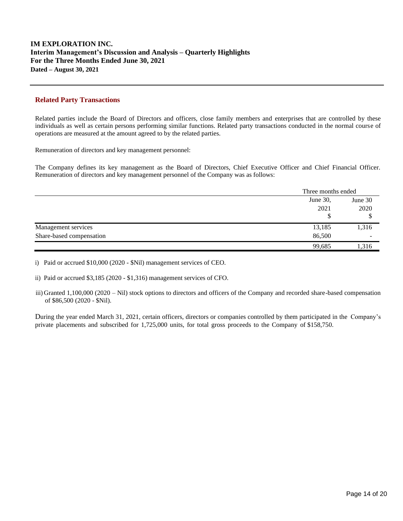## **Related Party Transactions**

Related parties include the Board of Directors and officers, close family members and enterprises that are controlled by these individuals as well as certain persons performing similar functions. Related party transactions conducted in the normal course of operations are measured at the amount agreed to by the related parties.

Remuneration of directors and key management personnel:

The Company defines its key management as the Board of Directors, Chief Executive Officer and Chief Financial Officer. Remuneration of directors and key management personnel of the Company was as follows:

|                          |          | Three months ended |  |
|--------------------------|----------|--------------------|--|
|                          | June 30, | June 30            |  |
|                          | 2021     | 2020               |  |
|                          | Φ        |                    |  |
| Management services      | 13,185   | 1,316              |  |
| Share-based compensation | 86,500   | -                  |  |
|                          | 99.685   | , 316              |  |

i) Paid or accrued \$10,000 (2020 - \$Nil) management services of CEO.

ii) Paid or accrued \$3,185 (2020 - \$1,316) management services of CFO.

iii) Granted 1,100,000 (2020 – Nil) stock options to directors and officers of the Company and recorded share-based compensation of \$86,500 (2020 - \$Nil).

During the year ended March 31, 2021, certain officers, directors or companies controlled by them participated in the Company's private placements and subscribed for 1,725,000 units, for total gross proceeds to the Company of \$158,750.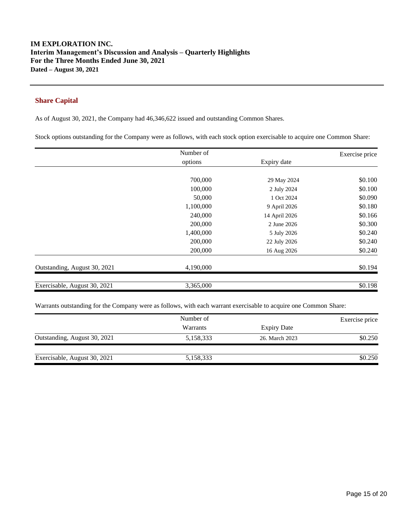# **Share Capital**

As of August 30, 2021, the Company had 46,346,622 issued and outstanding Common Shares.

Stock options outstanding for the Company were as follows, with each stock option exercisable to acquire one Common Share:

|                              | Number of |               | Exercise price |
|------------------------------|-----------|---------------|----------------|
|                              | options   | Expiry date   |                |
|                              |           |               |                |
|                              | 700,000   | 29 May 2024   | \$0.100        |
|                              | 100,000   | 2 July 2024   | \$0.100        |
|                              | 50,000    | 1 Oct 2024    | \$0.090        |
|                              | 1,100,000 | 9 April 2026  | \$0.180        |
|                              | 240,000   | 14 April 2026 | \$0.166        |
|                              | 200,000   | 2 June 2026   | \$0.300        |
|                              | 1,400,000 | 5 July 2026   | \$0.240        |
|                              | 200,000   | 22 July 2026  | \$0.240        |
|                              | 200,000   | 16 Aug 2026   | \$0.240        |
| Outstanding, August 30, 2021 | 4,190,000 |               | \$0.194        |
| Exercisable, August 30, 2021 | 3,365,000 |               | \$0.198        |

Warrants outstanding for the Company were as follows, with each warrant exercisable to acquire one Common Share:

|                              | Number of       |                    | Exercise price |
|------------------------------|-----------------|--------------------|----------------|
|                              | <b>Warrants</b> | <b>Expiry Date</b> |                |
| Outstanding, August 30, 2021 | 5,158,333       | 26. March 2023     | \$0.250        |
| Exercisable, August 30, 2021 | 5,158,333       |                    | \$0.250        |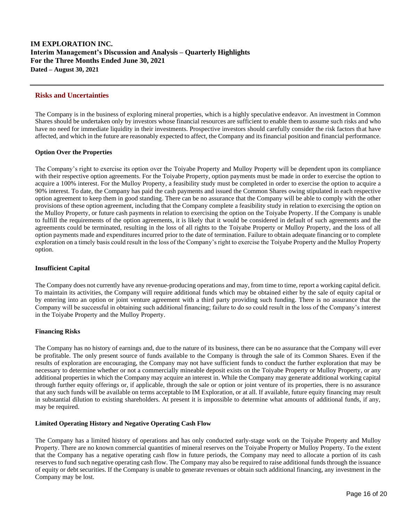#### **Risks and Uncertainties**

The Company is in the business of exploring mineral properties, which is a highly speculative endeavor. An investment in Common Shares should be undertaken only by investors whose financial resources are sufficient to enable them to assume such risks and who have no need for immediate liquidity in their investments. Prospective investors should carefully consider the risk factors that have affected, and which in the future are reasonably expected to affect, the Company and its financial position and financial performance.

#### **Option Over the Properties**

The Company's right to exercise its option over the Toiyabe Property and Mulloy Property will be dependent upon its compliance with their respective option agreements. For the Toiyabe Property, option payments must be made in order to exercise the option to acquire a 100% interest. For the Mulloy Property, a feasibility study must be completed in order to exercise the option to acquire a 90% interest. To date, the Company has paid the cash payments and issued the Common Shares owing stipulated in each respective option agreement to keep them in good standing. There can be no assurance that the Company will be able to comply with the other provisions of these option agreement, including that the Company complete a feasibility study in relation to exercising the option on the Mulloy Property, or future cash payments in relation to exercising the option on the Toiyabe Property. If the Company is unable to fulfill the requirements of the option agreements, it is likely that it would be considered in default of such agreements and the agreements could be terminated, resulting in the loss of all rights to the Toiyabe Property or Mulloy Property, and the loss of all option payments made and expenditures incurred prior to the date of termination. Failure to obtain adequate financing or to complete exploration on a timely basis could result in the loss of the Company's right to exercise the Toiyabe Property and the Mulloy Property option.

#### **Insufficient Capital**

The Company does not currently have any revenue-producing operations and may, from time to time, report a working capital deficit. To maintain its activities, the Company will require additional funds which may be obtained either by the sale of equity capital or by entering into an option or joint venture agreement with a third party providing such funding. There is no assurance that the Company will be successful in obtaining such additional financing; failure to do so could result in the loss of the Company's interest in the Toiyabe Property and the Mulloy Property.

## **Financing Risks**

The Company has no history of earnings and, due to the nature of its business, there can be no assurance that the Company will ever be profitable. The only present source of funds available to the Company is through the sale of its Common Shares. Even if the results of exploration are encouraging, the Company may not have sufficient funds to conduct the further exploration that may be necessary to determine whether or not a commercially mineable deposit exists on the Toiyabe Property or Mulloy Property, or any additional properties in which the Company may acquire an interest in. While the Company may generate additional working capital through further equity offerings or, if applicable, through the sale or option or joint venture of its properties, there is no assurance that any such funds will be available on terms acceptable to IM Exploration, or at all. If available, future equity financing may result in substantial dilution to existing shareholders. At present it is impossible to determine what amounts of additional funds, if any, may be required.

## **Limited Operating History and Negative Operating Cash Flow**

The Company has a limited history of operations and has only conducted early-stage work on the Toiyabe Property and Mulloy Property. There are no known commercial quantities of mineral reserves on the Toiyabe Property or Mulloy Property. To the extent that the Company has a negative operating cash flow in future periods, the Company may need to allocate a portion of its cash reserves to fund such negative operating cash flow. The Company may also be required to raise additional funds through the issuance of equity or debt securities. If the Company is unable to generate revenues or obtain such additional financing, any investment in the Company may be lost.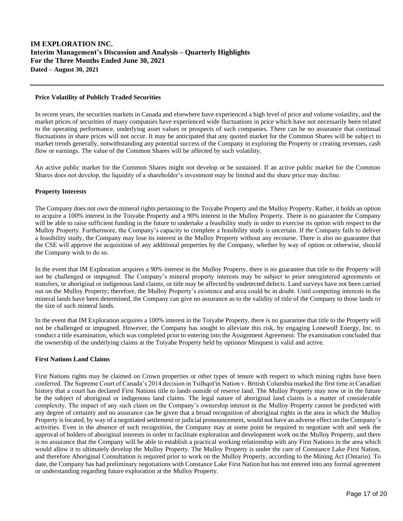## **Price Volatility of Publicly Traded Securities**

In recent years, the securities markets in Canada and elsewhere have experienced a high level of price and volume volatility, and the market prices of securities of many companies have experienced wide fluctuations in price which have not necessarily been related to the operating performance, underlying asset values or prospects of such companies. There can be no assurance that continual fluctuations in share prices will not occur. It may be anticipated that any quoted market for the Common Shares will be subject to market trends generally, notwithstanding any potential success of the Company in exploring the Property or creating revenues, cash flow or earnings. The value of the Common Shares will be affected by such volatility.

An active public market for the Common Shares might not develop or be sustained. If an active public market for the Common Shares does not develop, the liquidity of a shareholder's investment may be limited and the share price may decline.

## **Property Interests**

The Company does not own the mineral rights pertaining to the Toiyabe Property and the Mulloy Property. Rather, it holds an option to acquire a 100% interest in the Toiyabe Property and a 90% interest in the Mulloy Property. There is no guarantee the Company will be able to raise sufficient funding in the future to undertake a feasibility study in order to exercise its option with respect to the Mulloy Property. Furthermore, the Company's capacity to complete a feasibility study is uncertain. If the Company fails to deliver a feasibility study, the Company may lose its interest in the Mulloy Property without any recourse. There is also no guarantee that the CSE will approve the acquisition of any additional properties by the Company, whether by way of option or otherwise, should the Company wish to do so.

In the event that IM Exploration acquires a 90% interest in the Mulloy Property, there is no guarantee that title to the Property will not be challenged or impugned. The Company's mineral property interests may be subject to prior unregistered agreements or transfers, or aboriginal or indigenous land claims, or title may be affected by undetected defects. Land surveys have not been carried out on the Mulloy Property; therefore, the Mulloy Property's existence and area could be in doubt. Until competing interests in the mineral lands have been determined, the Company can give no assurance as to the validity of title of the Company to those lands or the size of such mineral lands.

In the event that IM Exploration acquires a 100% interest in the Toiyabe Property, there is no guarantee that title to the Property will not be challenged or impugned. However, the Company has sought to alleviate this risk, by engaging Lonewolf Energy, Inc. to conduct a title examination, which was completed prior to entering into the Assignment Agreement. The examination concluded that the ownership of the underlying claims at the Toiyabe Property held by optionor Minquest is valid and active.

#### **First Nations Land Claims**

First Nations rights may be claimed on Crown properties or other types of tenure with respect to which mining rights have been conferred. The Supreme Court of Canada's 2014 decision in Tsilhqot'in Nation v. British Columbia marked the first time in Canadian history that a court has declared First Nations title to lands outside of reserve land. The Mulloy Property may now or in the future be the subject of aboriginal or indigenous land claims. The legal nature of aboriginal land claims is a matter of considerable complexity. The impact of any such claim on the Company's ownership interest in the Mulloy Property cannot be predicted with any degree of certainty and no assurance can be given that a broad recognition of aboriginal rights in the area in which the Mulloy Property is located, by way of a negotiated settlement or judicial pronouncement, would not have an adverse effect on the Company's activities. Even in the absence of such recognition, the Company may at some point be required to negotiate with and seek the approval of holders of aboriginal interests in order to facilitate exploration and development work on the Mulloy Property, and there is no assurance that the Company will be able to establish a practical working relationship with any First Nations in the area which would allow it to ultimately develop the Mulloy Property. The Mulloy Property is under the care of Constance Lake First Nation, and therefore Aboriginal Consultation is required prior to work on the Mulloy Property, according to the Mining Act (Ontario). To date, the Company has had preliminary negotiations with Constance Lake First Nation but has not entered into any formal agreement or understanding regarding future exploration at the Mulloy Property.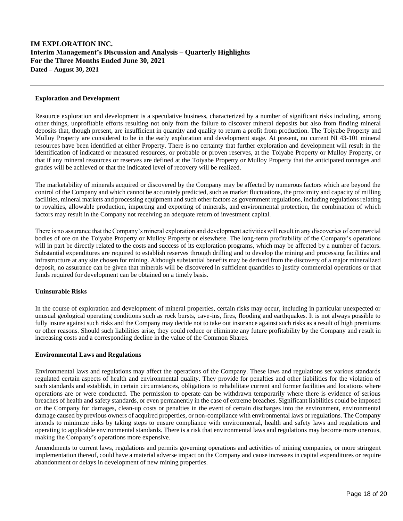#### **Exploration and Development**

Resource exploration and development is a speculative business, characterized by a number of significant risks including, among other things, unprofitable efforts resulting not only from the failure to discover mineral deposits but also from finding mineral deposits that, though present, are insufficient in quantity and quality to return a profit from production. The Toiyabe Property and Mulloy Property are considered to be in the early exploration and development stage. At present, no current NI 43-101 mineral resources have been identified at either Property. There is no certainty that further exploration and development will result in the identification of indicated or measured resources, or probable or proven reserves, at the Toiyabe Property or Mulloy Property, or that if any mineral resources or reserves are defined at the Toiyabe Property or Mulloy Property that the anticipated tonnages and grades will be achieved or that the indicated level of recovery will be realized.

The marketability of minerals acquired or discovered by the Company may be affected by numerous factors which are beyond the control of the Company and which cannot be accurately predicted, such as market fluctuations, the proximity and capacity of milling facilities, mineral markets and processing equipment and such other factors as government regulations, including regulations relating to royalties, allowable production, importing and exporting of minerals, and environmental protection, the combination of which factors may result in the Company not receiving an adequate return of investment capital.

There is no assurance that the Company's mineral exploration and development activities will result in any discoveries of commercial bodies of ore on the Toiyabe Property or Mulloy Property or elsewhere. The long-term profitability of the Company's operations will in part be directly related to the costs and success of its exploration programs, which may be affected by a number of factors. Substantial expenditures are required to establish reserves through drilling and to develop the mining and processing facilities and infrastructure at any site chosen for mining. Although substantial benefits may be derived from the discovery of a major mineralized deposit, no assurance can be given that minerals will be discovered in sufficient quantities to justify commercial operations or that funds required for development can be obtained on a timely basis.

#### **Uninsurable Risks**

In the course of exploration and development of mineral properties, certain risks may occur, including in particular unexpected or unusual geological operating conditions such as rock bursts, cave-ins, fires, flooding and earthquakes. It is not always possible to fully insure against such risks and the Company may decide not to take out insurance against such risks as a result of high premiums or other reasons. Should such liabilities arise, they could reduce or eliminate any future profitability by the Company and result in increasing costs and a corresponding decline in the value of the Common Shares.

#### **Environmental Laws and Regulations**

Environmental laws and regulations may affect the operations of the Company. These laws and regulations set various standards regulated certain aspects of health and environmental quality. They provide for penalties and other liabilities for the violation of such standards and establish, in certain circumstances, obligations to rehabilitate current and former facilities and locations where operations are or were conducted. The permission to operate can be withdrawn temporarily where there is evidence of serious breaches of health and safety standards, or even permanently in the case of extreme breaches. Significant liabilities could be imposed on the Company for damages, clean-up costs or penalties in the event of certain discharges into the environment, environmental damage caused by previous owners of acquired properties, or non-compliance with environmental laws or regulations. The Company intends to minimize risks by taking steps to ensure compliance with environmental, health and safety laws and regulations and operating to applicable environmental standards. There is a risk that environmental laws and regulations may become more onerous, making the Company's operations more expensive.

Amendments to current laws, regulations and permits governing operations and activities of mining companies, or more stringent implementation thereof, could have a material adverse impact on the Company and cause increases in capital expenditures or require abandonment or delays in development of new mining properties.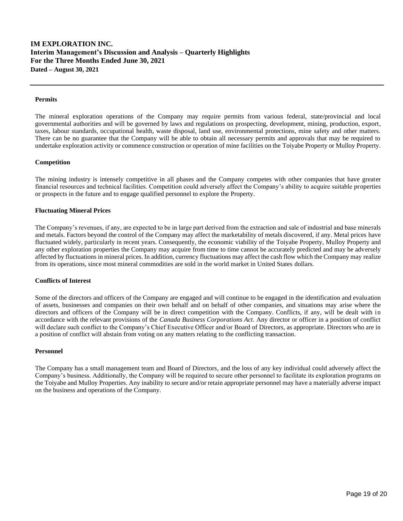#### **Permits**

The mineral exploration operations of the Company may require permits from various federal, state/provincial and local governmental authorities and will be governed by laws and regulations on prospecting, development, mining, production, export, taxes, labour standards, occupational health, waste disposal, land use, environmental protections, mine safety and other matters. There can be no guarantee that the Company will be able to obtain all necessary permits and approvals that may be required to undertake exploration activity or commence construction or operation of mine facilities on the Toiyabe Property or Mulloy Property.

#### **Competition**

The mining industry is intensely competitive in all phases and the Company competes with other companies that have greater financial resources and technical facilities. Competition could adversely affect the Company's ability to acquire suitable properties or prospects in the future and to engage qualified personnel to explore the Property.

#### **Fluctuating Mineral Prices**

The Company's revenues, if any, are expected to be in large part derived from the extraction and sale of industrial and base minerals and metals. Factors beyond the control of the Company may affect the marketability of metals discovered, if any. Metal prices have fluctuated widely, particularly in recent years. Consequently, the economic viability of the Toiyabe Property, Mulloy Property and any other exploration properties the Company may acquire from time to time cannot be accurately predicted and may be adversely affected by fluctuations in mineral prices. In addition, currency fluctuations may affect the cash flow which the Company may realize from its operations, since most mineral commodities are sold in the world market in United States dollars.

#### **Conflicts of Interest**

Some of the directors and officers of the Company are engaged and will continue to be engaged in the identification and evaluation of assets, businesses and companies on their own behalf and on behalf of other companies, and situations may arise where the directors and officers of the Company will be in direct competition with the Company. Conflicts, if any, will be dealt with in accordance with the relevant provisions of the *Canada Business Corporations Act*. Any director or officer in a position of conflict will declare such conflict to the Company's Chief Executive Officer and/or Board of Directors, as appropriate. Directors who are in a position of conflict will abstain from voting on any matters relating to the conflicting transaction.

#### **Personnel**

The Company has a small management team and Board of Directors, and the loss of any key individual could adversely affect the Company's business. Additionally, the Company will be required to secure other personnel to facilitate its exploration programs on the Toiyabe and Mulloy Properties. Any inability to secure and/or retain appropriate personnel may have a materially adverse impact on the business and operations of the Company.